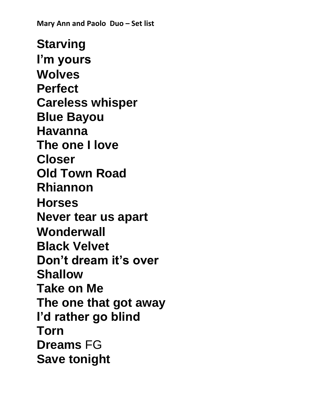**Starving I'm yours Wolves Perfect Careless whisper Blue Bayou Havanna The one I love Closer Old Town Road Rhiannon Horses Never tear us apart Wonderwall Black Velvet Don't dream it's over Shallow Take on Me The one that got away I'd rather go blind Torn Dreams** FG **Save tonight**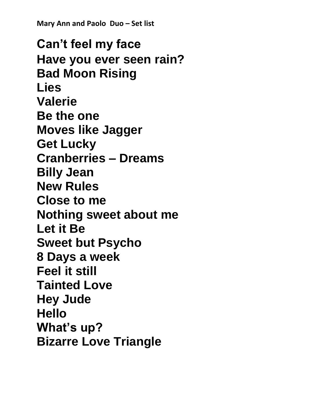**Can't feel my face Have you ever seen rain? Bad Moon Rising Lies Valerie Be the one Moves like Jagger Get Lucky Cranberries – Dreams Billy Jean New Rules Close to me Nothing sweet about me Let it Be Sweet but Psycho 8 Days a week Feel it still Tainted Love Hey Jude Hello What's up? Bizarre Love Triangle**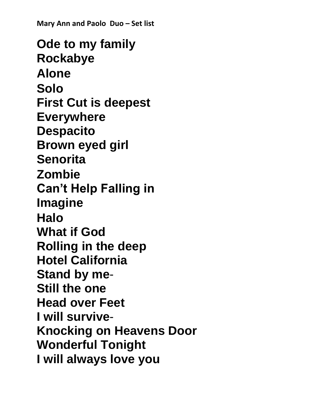**Ode to my family Rockabye Alone Solo First Cut is deepest Everywhere Despacito Brown eyed girl Senorita Zombie Can't Help Falling in Imagine Halo What if God Rolling in the deep Hotel California Stand by me**-**Still the one Head over Feet I will survive**-**Knocking on Heavens Door Wonderful Tonight I will always love you**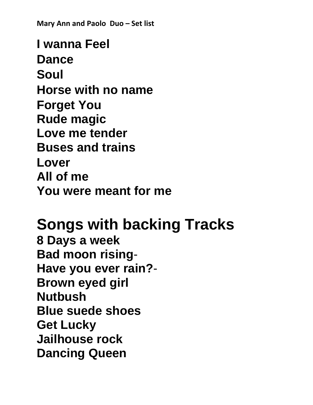**I wanna Feel Dance Soul Horse with no name Forget You Rude magic Love me tender Buses and trains Lover All of me You were meant for me** 

**Songs with backing Tracks 8 Days a week Bad moon rising**-**Have you ever rain?**- **Brown eyed girl Nutbush Blue suede shoes Get Lucky Jailhouse rock Dancing Queen**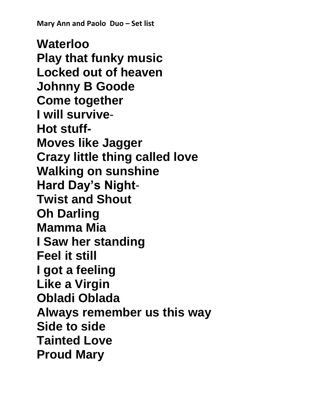**Waterloo Play that funky music Locked out of heaven Johnny B Goode Come together I will survive**-**Hot stuff-Moves like Jagger Crazy little thing called love Walking on sunshine Hard Day's Night**-**Twist and Shout Oh Darling Mamma Mia I Saw her standing Feel it still I got a feeling Like a Virgin Obladi Oblada Always remember us this way Side to side Tainted Love Proud Mary**